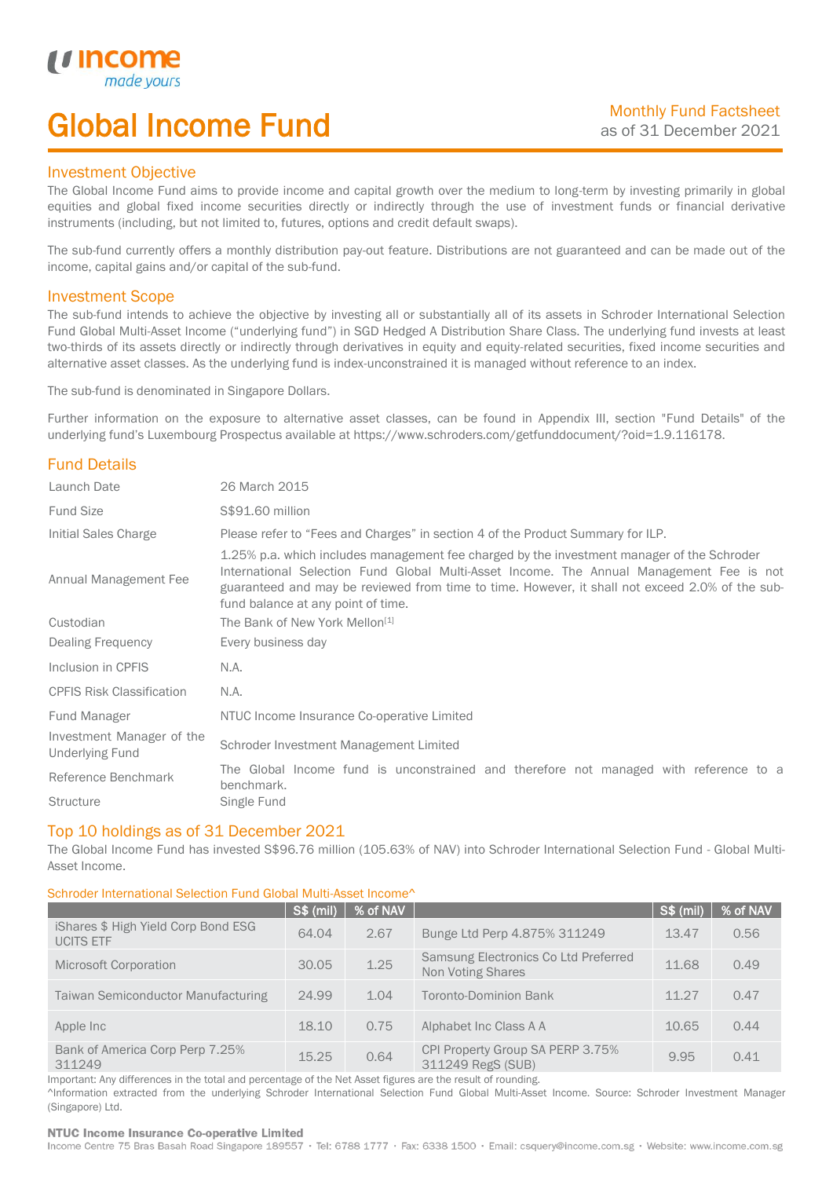# Global Income Fund

### Investment Objective

*u* incor

I

The Global Income Fund aims to provide income and capital growth over the medium to long-term by investing primarily in global equities and global fixed income securities directly or indirectly through the use of investment funds or financial derivative instruments (including, but not limited to, futures, options and credit default swaps).

The sub-fund currently offers a monthly distribution pay-out feature. Distributions are not guaranteed and can be made out of the income, capital gains and/or capital of the sub-fund.

### Investment Scope

The sub-fund intends to achieve the objective by investing all or substantially all of its assets in Schroder International Selection Fund Global Multi-Asset Income ("underlying fund") in SGD Hedged A Distribution Share Class. The underlying fund invests at least two-thirds of its assets directly or indirectly through derivatives in equity and equity-related securities, fixed income securities and alternative asset classes. As the underlying fund is index-unconstrained it is managed without reference to an index.

The sub-fund is denominated in Singapore Dollars.

Further information on the exposure to alternative asset classes, can be found in Appendix III, section "Fund Details" of the underlying fund's Luxembourg Prospectus available at https://www.schroders.com/getfunddocument/?oid=1.9.116178.

### Fund Details

| Launch Date                                         | 26 March 2015                                                                                                                                                                                                                                                                                                                   |  |  |  |
|-----------------------------------------------------|---------------------------------------------------------------------------------------------------------------------------------------------------------------------------------------------------------------------------------------------------------------------------------------------------------------------------------|--|--|--|
| <b>Fund Size</b>                                    | S\$91.60 million                                                                                                                                                                                                                                                                                                                |  |  |  |
| Initial Sales Charge                                | Please refer to "Fees and Charges" in section 4 of the Product Summary for ILP.                                                                                                                                                                                                                                                 |  |  |  |
| Annual Management Fee                               | 1.25% p.a. which includes management fee charged by the investment manager of the Schroder<br>International Selection Fund Global Multi-Asset Income. The Annual Management Fee is not<br>guaranteed and may be reviewed from time to time. However, it shall not exceed 2.0% of the sub-<br>fund balance at any point of time. |  |  |  |
| Custodian                                           | The Bank of New York Mellon <sup>[1]</sup>                                                                                                                                                                                                                                                                                      |  |  |  |
| Dealing Frequency                                   | Every business day                                                                                                                                                                                                                                                                                                              |  |  |  |
| Inclusion in CPFIS                                  | N.A.                                                                                                                                                                                                                                                                                                                            |  |  |  |
| <b>CPFIS Risk Classification</b>                    | N.A.                                                                                                                                                                                                                                                                                                                            |  |  |  |
| Fund Manager                                        | NTUC Income Insurance Co-operative Limited                                                                                                                                                                                                                                                                                      |  |  |  |
| Investment Manager of the<br><b>Underlying Fund</b> | Schroder Investment Management Limited                                                                                                                                                                                                                                                                                          |  |  |  |
| Reference Benchmark                                 | The Global Income fund is unconstrained and therefore not managed with reference to a<br>benchmark.                                                                                                                                                                                                                             |  |  |  |
| <b>Structure</b>                                    | Single Fund                                                                                                                                                                                                                                                                                                                     |  |  |  |

### Top 10 holdings as of 31 December 2021

The Global Income Fund has invested S\$96.76 million (105.63% of NAV) into Schroder International Selection Fund - Global Multi-Asset Income.

### Schroder International Selection Fund Global Multi-Asset Income^

|                                                         | <b>S\$ (mil)</b> | % of NAV |                                                           | <b>S\$ (mil)</b> | % of NAV |
|---------------------------------------------------------|------------------|----------|-----------------------------------------------------------|------------------|----------|
| iShares \$ High Yield Corp Bond ESG<br><b>UCITS ETF</b> | 64.04            | 2.67     | Bunge Ltd Perp 4.875% 311249                              | 13.47            | 0.56     |
| <b>Microsoft Corporation</b>                            | 30.05            | 1.25     | Samsung Electronics Co Ltd Preferred<br>Non Voting Shares | 11.68            | 0.49     |
| <b>Taiwan Semiconductor Manufacturing</b>               | 24.99            | 1.04     | <b>Toronto-Dominion Bank</b>                              | 11.27            | 0.47     |
| Apple Inc                                               | 18.10            | 0.75     | Alphabet Inc Class A A                                    | 10.65            | 0.44     |
| Bank of America Corp Perp 7.25%<br>311249               | 15.25            | 0.64     | CPI Property Group SA PERP 3.75%<br>311249 RegS (SUB)     | 9.95             | 0.41     |

Important: Any differences in the total and percentage of the Net Asset figures are the result of rounding. ^Information extracted from the underlying Schroder International Selection Fund Global Multi-Asset Income. Source: Schroder Investment Manager (Singapore) Ltd.

#### NTUC Income Insurance Co-operative Limited

Income Centre 75 Bras Basah Road Singapore 189557 · Tel: 6788 1777 · Fax: 6338 1500 · Email: csquery@income.com.sg · Website: www.income.com.sg